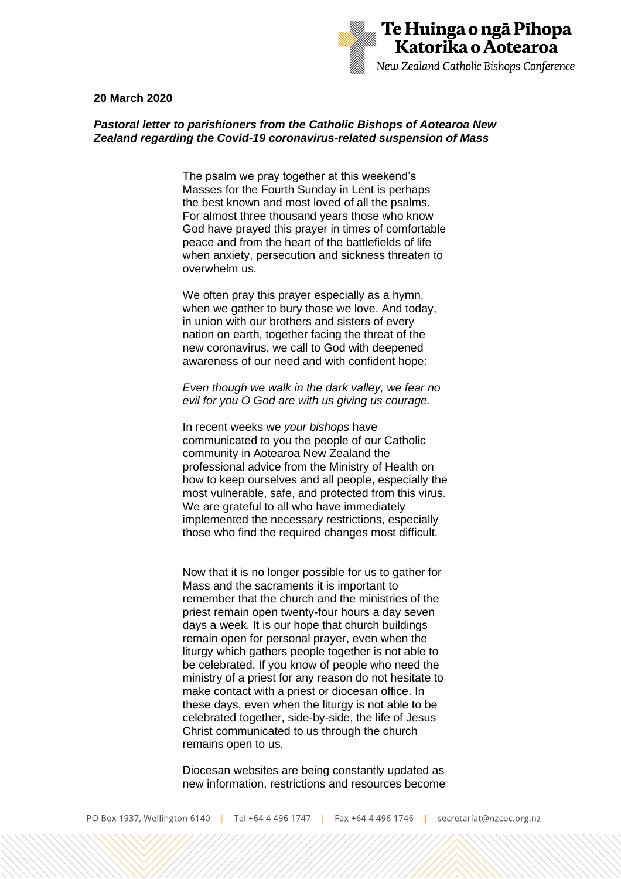

## **20 March 2020**

## *Pastoral letter to parishioners from the Catholic Bishops of Aotearoa New Zealand regarding the Covid-19 coronavirus-related suspension of Mass*

The psalm we pray together at this weekend's Masses for the Fourth Sunday in Lent is perhaps the best known and most loved of all the psalms. For almost three thousand years those who know God have prayed this prayer in times of comfortable peace and from the heart of the battlefields of life when anxiety, persecution and sickness threaten to overwhelm us.

We often pray this prayer especially as a hymn, when we gather to bury those we love. And today, in union with our brothers and sisters of every nation on earth, together facing the threat of the new coronavirus, we call to God with deepened awareness of our need and with confident hope:

## *Even though we walk in the dark valley, we fear no evil for you O God are with us giving us courage.*

In recent weeks we *your bishops* have communicated to you the people of our Catholic community in Aotearoa New Zealand the professional advice from the Ministry of Health on how to keep ourselves and all people, especially the most vulnerable, safe, and protected from this virus. We are grateful to all who have immediately implemented the necessary restrictions, especially those who find the required changes most difficult.

Now that it is no longer possible for us to gather for Mass and the sacraments it is important to remember that the church and the ministries of the priest remain open twenty-four hours a day seven days a week. It is our hope that church buildings remain open for personal prayer, even when the liturgy which gathers people together is not able to be celebrated. If you know of people who need the ministry of a priest for any reason do not hesitate to make contact with a priest or diocesan office. In these days, even when the liturgy is not able to be celebrated together, side-by-side, the life of Jesus Christ communicated to us through the church remains open to us.

Diocesan websites are being constantly updated as new information, restrictions and resources become